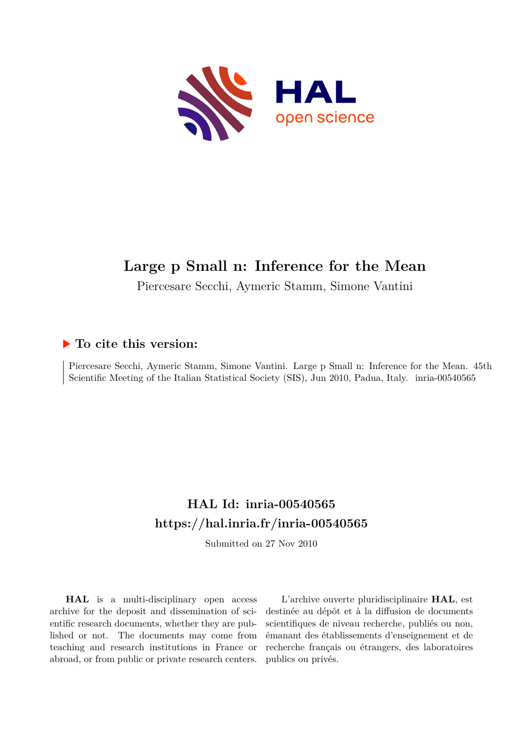

# **Large p Small n: Inference for the Mean**

Piercesare Secchi, Aymeric Stamm, Simone Vantini

# **To cite this version:**

Piercesare Secchi, Aymeric Stamm, Simone Vantini. Large p Small n: Inference for the Mean. 45th Scientific Meeting of the Italian Statistical Society (SIS), Jun 2010, Padua, Italy. inria-00540565

# **HAL Id: inria-00540565 <https://hal.inria.fr/inria-00540565>**

Submitted on 27 Nov 2010

**HAL** is a multi-disciplinary open access archive for the deposit and dissemination of scientific research documents, whether they are published or not. The documents may come from teaching and research institutions in France or abroad, or from public or private research centers.

L'archive ouverte pluridisciplinaire **HAL**, est destinée au dépôt et à la diffusion de documents scientifiques de niveau recherche, publiés ou non, émanant des établissements d'enseignement et de recherche français ou étrangers, des laboratoires publics ou privés.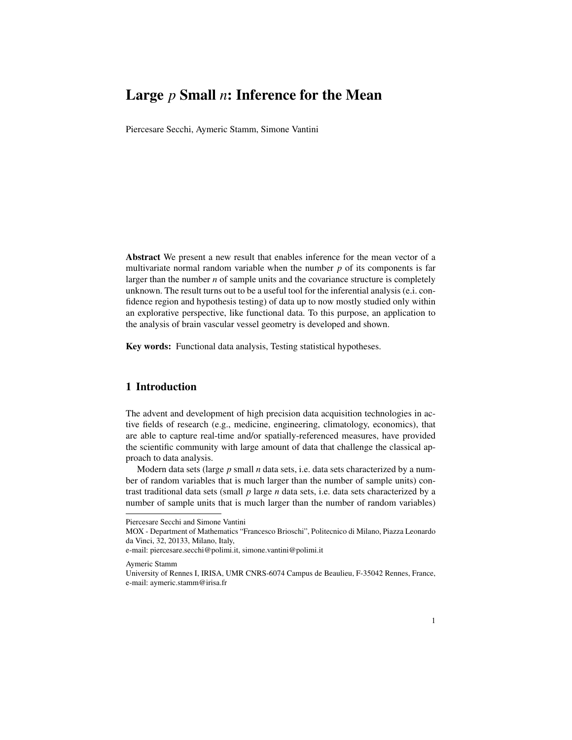# Large *p* Small *n*: Inference for the Mean

Piercesare Secchi, Aymeric Stamm, Simone Vantini

Abstract We present a new result that enables inference for the mean vector of a multivariate normal random variable when the number *p* of its components is far larger than the number *n* of sample units and the covariance structure is completely unknown. The result turns out to be a useful tool for the inferential analysis (e.i. confidence region and hypothesis testing) of data up to now mostly studied only within an explorative perspective, like functional data. To this purpose, an application to the analysis of brain vascular vessel geometry is developed and shown.

Key words: Functional data analysis, Testing statistical hypotheses.

## 1 Introduction

The advent and development of high precision data acquisition technologies in active fields of research (e.g., medicine, engineering, climatology, economics), that are able to capture real-time and/or spatially-referenced measures, have provided the scientific community with large amount of data that challenge the classical approach to data analysis.

Modern data sets (large *p* small *n* data sets, i.e. data sets characterized by a number of random variables that is much larger than the number of sample units) contrast traditional data sets (small *p* large *n* data sets, i.e. data sets characterized by a number of sample units that is much larger than the number of random variables)

Aymeric Stamm

Piercesare Secchi and Simone Vantini

MOX - Department of Mathematics "Francesco Brioschi", Politecnico di Milano, Piazza Leonardo da Vinci, 32, 20133, Milano, Italy,

e-mail: piercesare.secchi@polimi.it, simone.vantini@polimi.it

University of Rennes I, IRISA, UMR CNRS-6074 Campus de Beaulieu, F-35042 Rennes, France, e-mail: aymeric.stamm@irisa.fr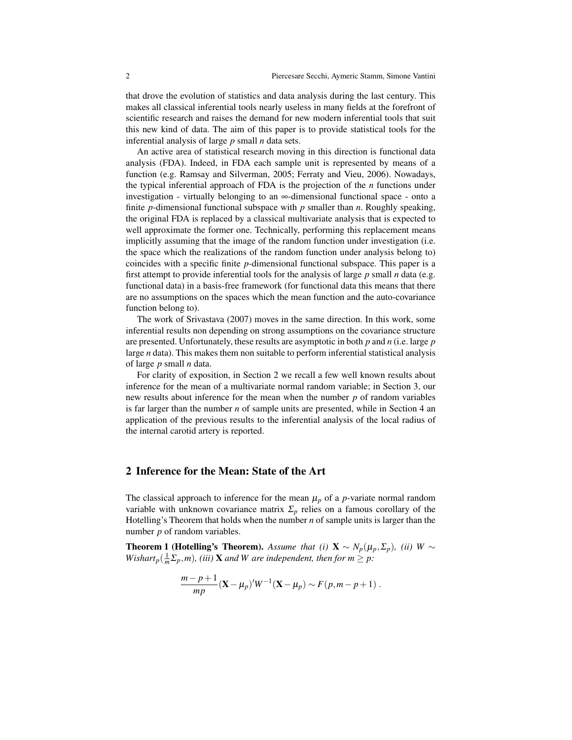that drove the evolution of statistics and data analysis during the last century. This makes all classical inferential tools nearly useless in many fields at the forefront of scientific research and raises the demand for new modern inferential tools that suit this new kind of data. The aim of this paper is to provide statistical tools for the inferential analysis of large *p* small *n* data sets.

An active area of statistical research moving in this direction is functional data analysis (FDA). Indeed, in FDA each sample unit is represented by means of a function (e.g. Ramsay and Silverman, 2005; Ferraty and Vieu, 2006). Nowadays, the typical inferential approach of FDA is the projection of the *n* functions under investigation - virtually belonging to an ∞-dimensional functional space - onto a finite *p*-dimensional functional subspace with *p* smaller than *n*. Roughly speaking, the original FDA is replaced by a classical multivariate analysis that is expected to well approximate the former one. Technically, performing this replacement means implicitly assuming that the image of the random function under investigation (i.e. the space which the realizations of the random function under analysis belong to) coincides with a specific finite *p*-dimensional functional subspace. This paper is a first attempt to provide inferential tools for the analysis of large *p* small *n* data (e.g. functional data) in a basis-free framework (for functional data this means that there are no assumptions on the spaces which the mean function and the auto-covariance function belong to).

The work of Srivastava (2007) moves in the same direction. In this work, some inferential results non depending on strong assumptions on the covariance structure are presented. Unfortunately, these results are asymptotic in both *p* and *n* (i.e. large *p* large *n* data). This makes them non suitable to perform inferential statistical analysis of large *p* small *n* data.

For clarity of exposition, in Section 2 we recall a few well known results about inference for the mean of a multivariate normal random variable; in Section 3, our new results about inference for the mean when the number *p* of random variables is far larger than the number *n* of sample units are presented, while in Section 4 an application of the previous results to the inferential analysis of the local radius of the internal carotid artery is reported.

### 2 Inference for the Mean: State of the Art

The classical approach to inference for the mean  $\mu_p$  of a *p*-variate normal random variable with unknown covariance matrix  $\Sigma_p$  relies on a famous corollary of the Hotelling's Theorem that holds when the number *n* of sample units is larger than the number *p* of random variables.

**Theorem 1 (Hotelling's Theorem).** *Assume that (i)*  $\mathbf{X} \sim N_p(\mu_p, \Sigma_p)$ , *(ii)*  $W \sim$ *Wishart*<sub>p</sub>( $\frac{1}{m}\sum_{p}$ ,*m*)*,* (*iii*) **X** and *W* are independent, then for  $m \ge p$ :

$$
\frac{m-p+1}{mp}({\bf X}-\mu_p)'W^{-1}({\bf X}-\mu_p)\sim F(p,m-p+1).
$$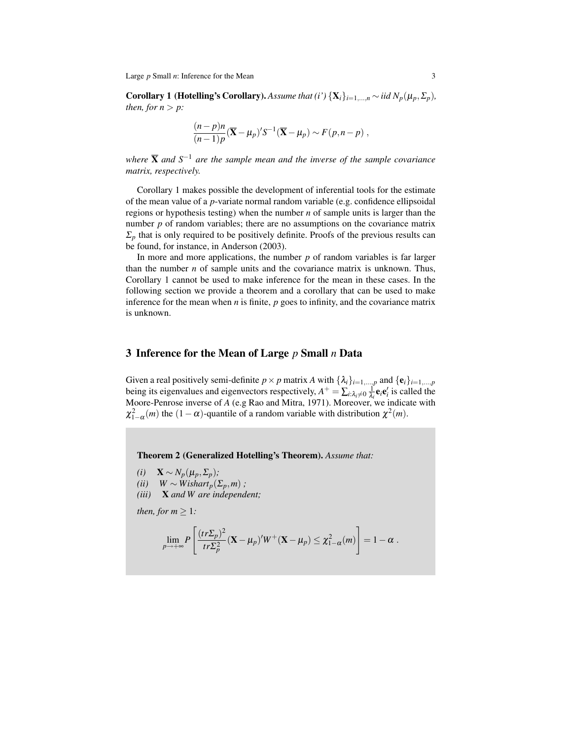Large *p* Small *n*: Inference for the Mean 3

Corollary 1 (Hotelling's Corollary). Assume that (i')  $\{X_i\}_{i=1,\dots,n} \sim$  *iid*  $N_p(\mu_p, \Sigma_p)$ , *then, for*  $n > p$ *:* 

$$
\frac{(n-p)n}{(n-1)p}(\overline{\mathbf{X}}-\boldsymbol{\mu}_p)'S^{-1}(\overline{\mathbf{X}}-\boldsymbol{\mu}_p)\sim F(p,n-p) ,
$$

*where* X *and S*−<sup>1</sup> *are the sample mean and the inverse of the sample covariance matrix, respectively.*

Corollary 1 makes possible the development of inferential tools for the estimate of the mean value of a *p*-variate normal random variable (e.g. confidence ellipsoidal regions or hypothesis testing) when the number *n* of sample units is larger than the number *p* of random variables; there are no assumptions on the covariance matrix  $\Sigma_p$  that is only required to be positively definite. Proofs of the previous results can be found, for instance, in Anderson (2003).

In more and more applications, the number  $p$  of random variables is far larger than the number *n* of sample units and the covariance matrix is unknown. Thus, Corollary 1 cannot be used to make inference for the mean in these cases. In the following section we provide a theorem and a corollary that can be used to make inference for the mean when *n* is finite, *p* goes to infinity, and the covariance matrix is unknown.

#### 3 Inference for the Mean of Large *p* Small *n* Data

Given a real positively semi-definite  $p \times p$  matrix *A* with  $\{\lambda_i\}_{i=1,\dots,p}$  and  $\{\mathbf{e}_i\}_{i=1,\dots,p}$ being its eigenvalues and eigenvectors respectively,  $A^+ = \sum_{i:\lambda_i\neq 0} \frac{1}{\lambda_i}$  $\frac{1}{\lambda_i}$ **e**<sub>*i*</sub>**e**<sup>*i*</sup><sub>*i*</sub> is called the Moore-Penrose inverse of *A* (e.g Rao and Mitra, 1971). Moreover, we indicate with  $\chi^2_{1-\alpha}(m)$  the  $(1-\alpha)$ -quantile of a random variable with distribution  $\chi^2(m)$ .

Theorem 2 (Generalized Hotelling's Theorem). *Assume that:*

- $(i)$  **X** ∼  $N_p(\mu_p, \Sigma_p)$ ;
- *(ii)*  $W \sim Wishart_p(\Sigma_p, m)$ ;
- *(iii)* X *and W are independent;*

*then, for m*  $\geq$  1*:* 

$$
\lim_{p\to+\infty}P\left[\frac{(tr\Sigma_p)^2}{tr\Sigma_p^2}(\mathbf{X}-\mu_p)'W^+(\mathbf{X}-\mu_p)\leq \chi^2_{1-\alpha}(m)\right]=1-\alpha.
$$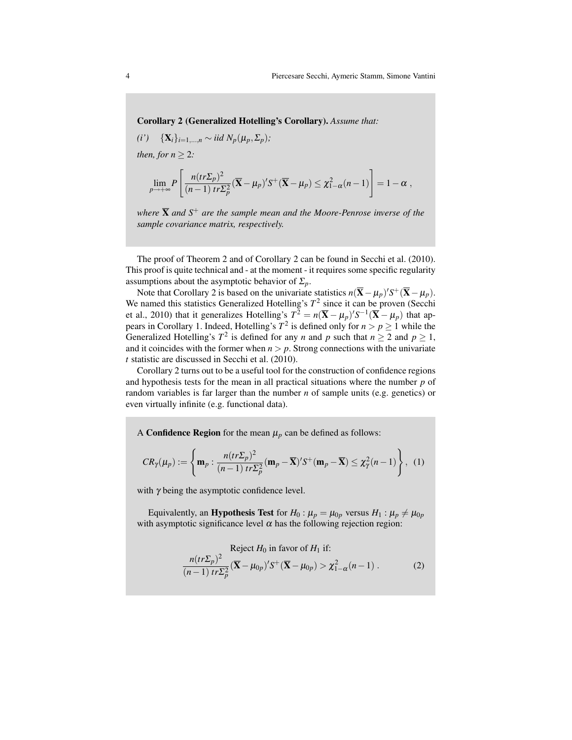Corollary 2 (Generalized Hotelling's Corollary). *Assume that:*

*(i')* {**X**<sub>*i*</sub>}<sub>*i*=1,...,*n*</sub> ∼ *iid*  $N_p(\mu_p, \Sigma_p)$ ; *then, for*  $n \geq 2$ *:* 

$$
\lim_{p\to+\infty}P\left[\frac{n(tr\Sigma_p)^2}{(n-1)tr\Sigma_p^2}(\overline{\mathbf{X}}-\boldsymbol{\mu}_p)'S^+(\overline{\mathbf{X}}-\boldsymbol{\mu}_p)\leq \chi^2_{1-\alpha}(n-1)\right]=1-\alpha,
$$

*where* X *and S*<sup>+</sup> *are the sample mean and the Moore-Penrose inverse of the sample covariance matrix, respectively.*

The proof of Theorem 2 and of Corollary 2 can be found in Secchi et al. (2010). This proof is quite technical and - at the moment - it requires some specific regularity assumptions about the asymptotic behavior of  $\Sigma_p$ .

Note that Corollary 2 is based on the univariate statistics  $n(\bar{\mathbf{X}} - \mu_p)'S^+(\bar{\mathbf{X}} - \mu_p)$ . We named this statistics Generalized Hotelling's  $T^2$  since it can be proven (Secchi et al., 2010) that it generalizes Hotelling's  $T^2 = n(\bar{\mathbf{X}} - \mu_p)'S^{-1}(\bar{\mathbf{X}} - \mu_p)$  that appears in Corollary 1. Indeed, Hotelling's  $T^2$  is defined only for  $n > p \ge 1$  while the Generalized Hotelling's  $T^2$  is defined for any *n* and *p* such that  $n \ge 2$  and  $p \ge 1$ , and it coincides with the former when  $n > p$ . Strong connections with the univariate *t* statistic are discussed in Secchi et al. (2010).

Corollary 2 turns out to be a useful tool for the construction of confidence regions and hypothesis tests for the mean in all practical situations where the number *p* of random variables is far larger than the number *n* of sample units (e.g. genetics) or even virtually infinite (e.g. functional data).

A **Confidence Region** for the mean  $\mu_p$  can be defined as follows:

$$
CR_{\gamma}(\mu_p) := \left\{ \mathbf{m}_p : \frac{n(tr\Sigma_p)^2}{(n-1) tr\Sigma_p^2} (\mathbf{m}_p - \overline{\mathbf{X}})' S^+(\mathbf{m}_p - \overline{\mathbf{X}}) \leq \chi^2_{\gamma}(n-1) \right\}, \tag{1}
$$

with  $\gamma$  being the asymptotic confidence level.

Equivalently, an **Hypothesis Test** for  $H_0: \mu_p = \mu_{0p}$  versus  $H_1: \mu_p \neq \mu_{0p}$ with asymptotic significance level  $\alpha$  has the following rejection region:

$$
\text{Reject } H_0 \text{ in favor of } H_1 \text{ if:}
$$
\n
$$
\frac{n(tr\Sigma_p)^2}{(n-1) tr\Sigma_p^2} (\overline{\mathbf{X}} - \mu_{0p})' S^+ (\overline{\mathbf{X}} - \mu_{0p}) > \chi_{1-\alpha}^2 (n-1) \,. \tag{2}
$$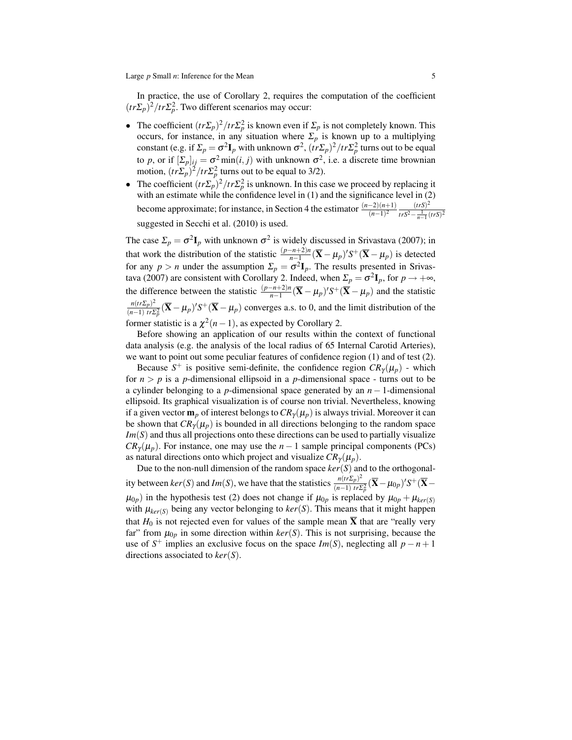In practice, the use of Corollary 2, requires the computation of the coefficient  $(tr\Sigma_p)^2 / tr\Sigma_p^2$ . Two different scenarios may occur:

- The coefficient  $(tr\Sigma_p)^2 / tr\Sigma_p^2$  is known even if  $\Sigma_p$  is not completely known. This occurs, for instance, in any situation where  $\Sigma_p$  is known up to a multiplying constant (e.g. if  $\Sigma_p = \sigma^2 \mathbf{I}_p$  with unknown  $\sigma^2$ ,  $(\hat{tr} \Sigma_p)^2 / tr \Sigma_p^2$  turns out to be equal to *p*, or if  $[\Sigma_p]_{ij} = \sigma^2 \min(i, j)$  with unknown  $\sigma^2$ , i.e. a discrete time brownian motion,  $(tr\overline{\Sigma_p})^2 / tr\overline{\Sigma_p^2}$  turns out to be equal to 3/2).
- The coefficient  $(tr\Sigma_p)^2 / tr\Sigma_p^2$  is unknown. In this case we proceed by replacing it with an estimate while the confidence level in (1) and the significance level in (2) become approximate; for instance, in Section 4 the estimator  $\frac{(n-2)(n+1)}{(n-1)^2} \frac{(trS)^2}{trS^2 - \frac{1}{n-1}}$  $\frac{1}{\ln 5^2} - \frac{1}{n-1} (\ln 5)^2$ suggested in Secchi et al. (2010) is used.

The case  $\Sigma_p = \sigma^2 \mathbf{I}_p$  with unknown  $\sigma^2$  is widely discussed in Srivastava (2007); in that work the distribution of the statistic  $\frac{(p-n+2)n}{n-1}(\bar{X}-\mu_p)'S^+(\bar{X}-\mu_p)$  is detected for any  $p > n$  under the assumption  $\Sigma_p = \sigma^2 \mathbf{I}_p$ . The results presented in Srivastava (2007) are consistent with Corollary 2. Indeed, when  $\Sigma_p = \sigma^2 \mathbf{I}_p$ , for  $p \to +\infty$ , the difference between the statistic  $\frac{(p-n+2)n}{n-1}(\bar{X}-\mu_p)'S^+(\bar{X}-\mu_p)$  and the statistic  $n(tr\Sigma_p)^2$  $\frac{n(tr\Sigma_p)^2}{(n-1) tr\Sigma_p^2} (\overline{\mathbf{X}} - \mu_p)' S^+ (\overline{\mathbf{X}} - \mu_p)$  converges a.s. to 0, and the limit distribution of the

former statistic is a  $\chi^2(n-1)$ , as expected by Corollary 2.

Before showing an application of our results within the context of functional data analysis (e.g. the analysis of the local radius of 65 Internal Carotid Arteries), we want to point out some peculiar features of confidence region (1) and of test (2).

Because  $S^+$  is positive semi-definite, the confidence region  $CR_\gamma(\mu_p)$  - which for  $n > p$  is a *p*-dimensional ellipsoid in a *p*-dimensional space - turns out to be a cylinder belonging to a *p*-dimensional space generated by an *n* − 1-dimensional ellipsoid. Its graphical visualization is of course non trivial. Nevertheless, knowing if a given vector  $\mathbf{m}_p$  of interest belongs to  $CR_\gamma(\mu_p)$  is always trivial. Moreover it can be shown that  $CR_{\gamma}(\mu_p)$  is bounded in all directions belonging to the random space *Im*(*S*) and thus all projections onto these directions can be used to partially visualize  $CR_{\gamma}(\mu_p)$ . For instance, one may use the *n* − 1 sample principal components (PCs) as natural directions onto which project and visualize  $CR_{\gamma}(\mu_p)$ .

Due to the non-null dimension of the random space *ker*(*S*) and to the orthogonality between  $ker(S)$  and  $Im(S)$ , we have that the statistics  $\frac{n(tr\Sigma_p)^2}{(n-1)tr\Sigma_p^2}$  $\frac{n(tr\Sigma_p)^2}{(n-1) tr\Sigma_p^2} (\overline{\mathbf{X}} - \mu_{0p})' S^+ (\overline{\mathbf{X}} \mu_{0p}$ ) in the hypothesis test (2) does not change if  $\mu_{0p}$  is replaced by  $\mu_{0p} + \mu_{ker(S)}$ with  $\mu_{\text{ker}(S)}$  being any vector belonging to  $\text{ker}(S)$ . This means that it might happen that  $H_0$  is not rejected even for values of the sample mean  $\overline{X}$  that are "really very far" from  $\mu_{0p}$  in some direction within  $\text{ker}(S)$ . This is not surprising, because the use of  $S^+$  implies an exclusive focus on the space *Im(S)*, neglecting all  $p - n + 1$ directions associated to *ker*(*S*).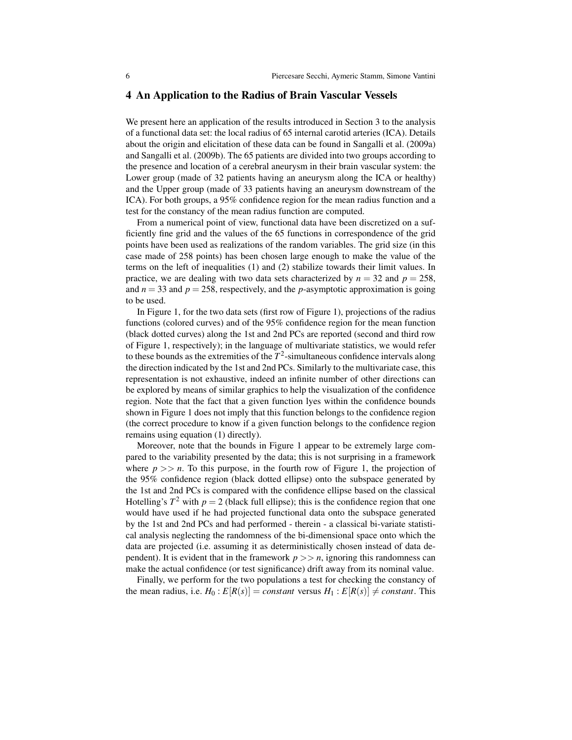### 4 An Application to the Radius of Brain Vascular Vessels

We present here an application of the results introduced in Section 3 to the analysis of a functional data set: the local radius of 65 internal carotid arteries (ICA). Details about the origin and elicitation of these data can be found in Sangalli et al. (2009a) and Sangalli et al. (2009b). The 65 patients are divided into two groups according to the presence and location of a cerebral aneurysm in their brain vascular system: the Lower group (made of 32 patients having an aneurysm along the ICA or healthy) and the Upper group (made of 33 patients having an aneurysm downstream of the ICA). For both groups, a 95% confidence region for the mean radius function and a test for the constancy of the mean radius function are computed.

From a numerical point of view, functional data have been discretized on a sufficiently fine grid and the values of the 65 functions in correspondence of the grid points have been used as realizations of the random variables. The grid size (in this case made of 258 points) has been chosen large enough to make the value of the terms on the left of inequalities (1) and (2) stabilize towards their limit values. In practice, we are dealing with two data sets characterized by  $n = 32$  and  $p = 258$ , and  $n = 33$  and  $p = 258$ , respectively, and the *p*-asymptotic approximation is going to be used.

In Figure 1, for the two data sets (first row of Figure 1), projections of the radius functions (colored curves) and of the 95% confidence region for the mean function (black dotted curves) along the 1st and 2nd PCs are reported (second and third row of Figure 1, respectively); in the language of multivariate statistics, we would refer to these bounds as the extremities of the  $T^2$ -simultaneous confidence intervals along the direction indicated by the 1st and 2nd PCs. Similarly to the multivariate case, this representation is not exhaustive, indeed an infinite number of other directions can be explored by means of similar graphics to help the visualization of the confidence region. Note that the fact that a given function lyes within the confidence bounds shown in Figure 1 does not imply that this function belongs to the confidence region (the correct procedure to know if a given function belongs to the confidence region remains using equation (1) directly).

Moreover, note that the bounds in Figure 1 appear to be extremely large compared to the variability presented by the data; this is not surprising in a framework where  $p \gg n$ . To this purpose, in the fourth row of Figure 1, the projection of the 95% confidence region (black dotted ellipse) onto the subspace generated by the 1st and 2nd PCs is compared with the confidence ellipse based on the classical Hotelling's  $T^2$  with  $p = 2$  (black full ellipse); this is the confidence region that one would have used if he had projected functional data onto the subspace generated by the 1st and 2nd PCs and had performed - therein - a classical bi-variate statistical analysis neglecting the randomness of the bi-dimensional space onto which the data are projected (i.e. assuming it as deterministically chosen instead of data dependent). It is evident that in the framework  $p \geq n$ , ignoring this randomness can make the actual confidence (or test significance) drift away from its nominal value.

Finally, we perform for the two populations a test for checking the constancy of the mean radius, i.e.  $H_0: E[R(s)] = constant$  versus  $H_1: E[R(s)] \neq constant$ . This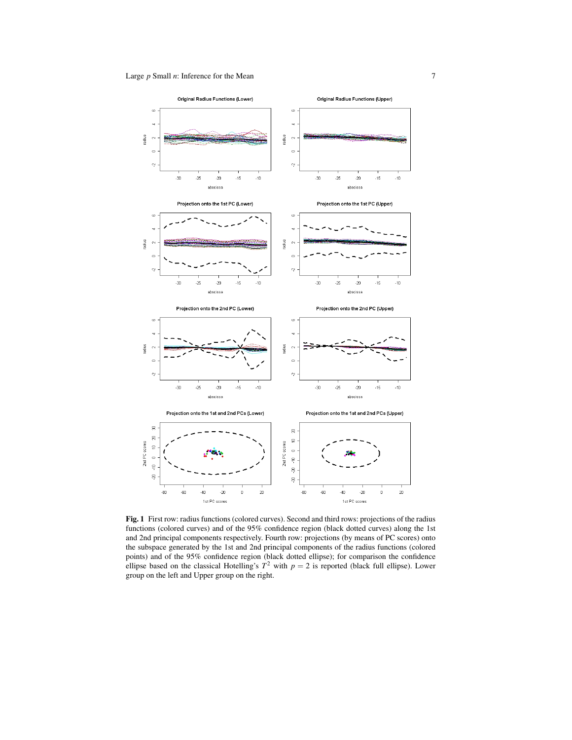

Fig. 1 First row: radius functions (colored curves). Second and third rows: projections of the radius functions (colored curves) and of the 95% confidence region (black dotted curves) along the 1st and 2nd principal components respectively. Fourth row: projections (by means of PC scores) onto the subspace generated by the 1st and 2nd principal components of the radius functions (colored points) and of the 95% confidence region (black dotted ellipse); for comparison the confidence ellipse based on the classical Hotelling's  $T^2$  with  $p = 2$  is reported (black full ellipse). Lower group on the left and Upper group on the right.